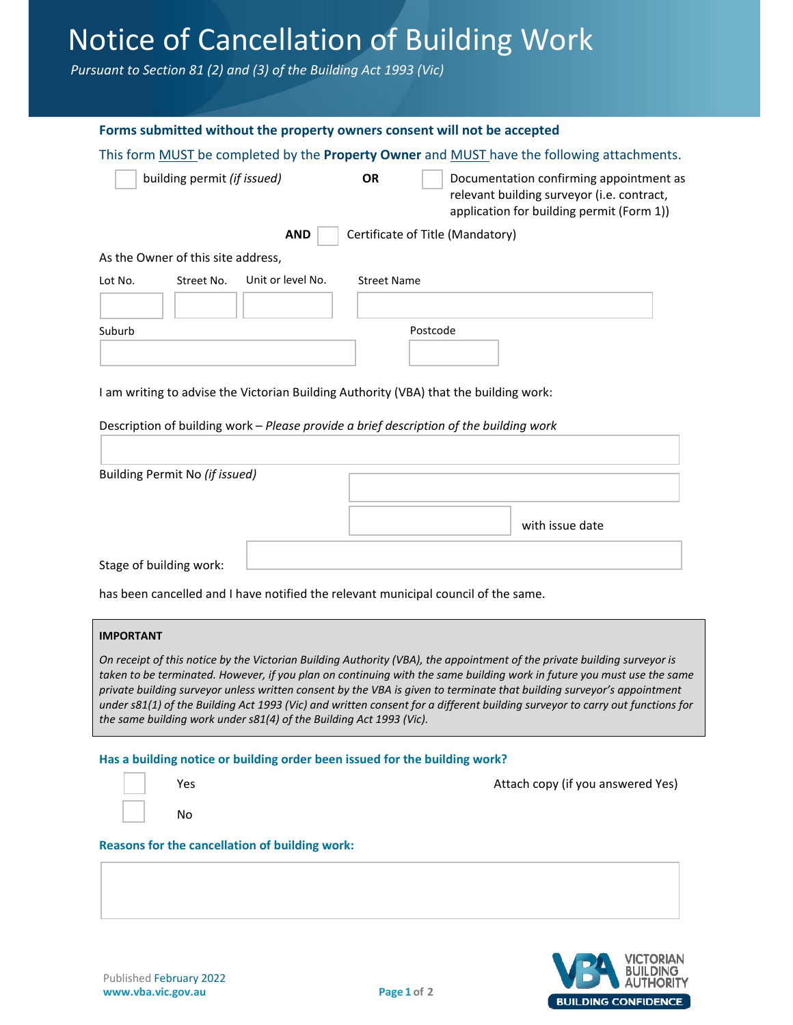# Notice of Cancellation of Building Work

*Pursuant to Section 81 (2) and (3) of the Building Act 1993 (Vic)*

| Forms submitted without the property owners consent will not be accepted                                                                                                                                                                         |                    |                                                                                                                                    |  |  |  |  |
|--------------------------------------------------------------------------------------------------------------------------------------------------------------------------------------------------------------------------------------------------|--------------------|------------------------------------------------------------------------------------------------------------------------------------|--|--|--|--|
| This form MUST be completed by the Property Owner and MUST have the following attachments.                                                                                                                                                       |                    |                                                                                                                                    |  |  |  |  |
| building permit (if issued)                                                                                                                                                                                                                      | <b>OR</b>          | Documentation confirming appointment as<br>relevant building surveyor (i.e. contract,<br>application for building permit (Form 1)) |  |  |  |  |
| <b>AND</b>                                                                                                                                                                                                                                       |                    | Certificate of Title (Mandatory)                                                                                                   |  |  |  |  |
| As the Owner of this site address,                                                                                                                                                                                                               |                    |                                                                                                                                    |  |  |  |  |
| Unit or level No.<br>Lot No.<br>Street No.                                                                                                                                                                                                       | <b>Street Name</b> |                                                                                                                                    |  |  |  |  |
|                                                                                                                                                                                                                                                  |                    |                                                                                                                                    |  |  |  |  |
| Suburb                                                                                                                                                                                                                                           |                    | Postcode                                                                                                                           |  |  |  |  |
|                                                                                                                                                                                                                                                  |                    |                                                                                                                                    |  |  |  |  |
|                                                                                                                                                                                                                                                  |                    |                                                                                                                                    |  |  |  |  |
| I am writing to advise the Victorian Building Authority (VBA) that the building work:                                                                                                                                                            |                    |                                                                                                                                    |  |  |  |  |
| Description of building work - Please provide a brief description of the building work                                                                                                                                                           |                    |                                                                                                                                    |  |  |  |  |
|                                                                                                                                                                                                                                                  |                    |                                                                                                                                    |  |  |  |  |
|                                                                                                                                                                                                                                                  |                    |                                                                                                                                    |  |  |  |  |
| Building Permit No (if issued)                                                                                                                                                                                                                   |                    |                                                                                                                                    |  |  |  |  |
|                                                                                                                                                                                                                                                  |                    |                                                                                                                                    |  |  |  |  |
|                                                                                                                                                                                                                                                  |                    | with issue date                                                                                                                    |  |  |  |  |
|                                                                                                                                                                                                                                                  |                    |                                                                                                                                    |  |  |  |  |
| Stage of building work:                                                                                                                                                                                                                          |                    |                                                                                                                                    |  |  |  |  |
| has been cancelled and I have notified the relevant municipal council of the same.                                                                                                                                                               |                    |                                                                                                                                    |  |  |  |  |
|                                                                                                                                                                                                                                                  |                    |                                                                                                                                    |  |  |  |  |
| <b>IMPORTANT</b>                                                                                                                                                                                                                                 |                    |                                                                                                                                    |  |  |  |  |
|                                                                                                                                                                                                                                                  |                    | On receipt of this notice by the Victorian Building Authority (VBA), the appointment of the private building surveyor is           |  |  |  |  |
| taken to be terminated. However, if you plan on continuing with the same building work in future you must use the same<br>private building surveyor unless written consent by the VBA is given to terminate that building surveyor's appointment |                    |                                                                                                                                    |  |  |  |  |
| under s81(1) of the Building Act 1993 (Vic) and written consent for a different building surveyor to carry out functions for<br>the same building work under s81(4) of the Building Act 1993 (Vic).                                              |                    |                                                                                                                                    |  |  |  |  |
|                                                                                                                                                                                                                                                  |                    |                                                                                                                                    |  |  |  |  |
| Has a building notice or building order been issued for the building work?                                                                                                                                                                       |                    |                                                                                                                                    |  |  |  |  |
| Yes                                                                                                                                                                                                                                              |                    | Attach copy (if you answered Yes)                                                                                                  |  |  |  |  |
| No                                                                                                                                                                                                                                               |                    |                                                                                                                                    |  |  |  |  |
| <b>Reasons for the cancellation of building work:</b>                                                                                                                                                                                            |                    |                                                                                                                                    |  |  |  |  |
|                                                                                                                                                                                                                                                  |                    |                                                                                                                                    |  |  |  |  |
|                                                                                                                                                                                                                                                  |                    |                                                                                                                                    |  |  |  |  |
|                                                                                                                                                                                                                                                  |                    |                                                                                                                                    |  |  |  |  |